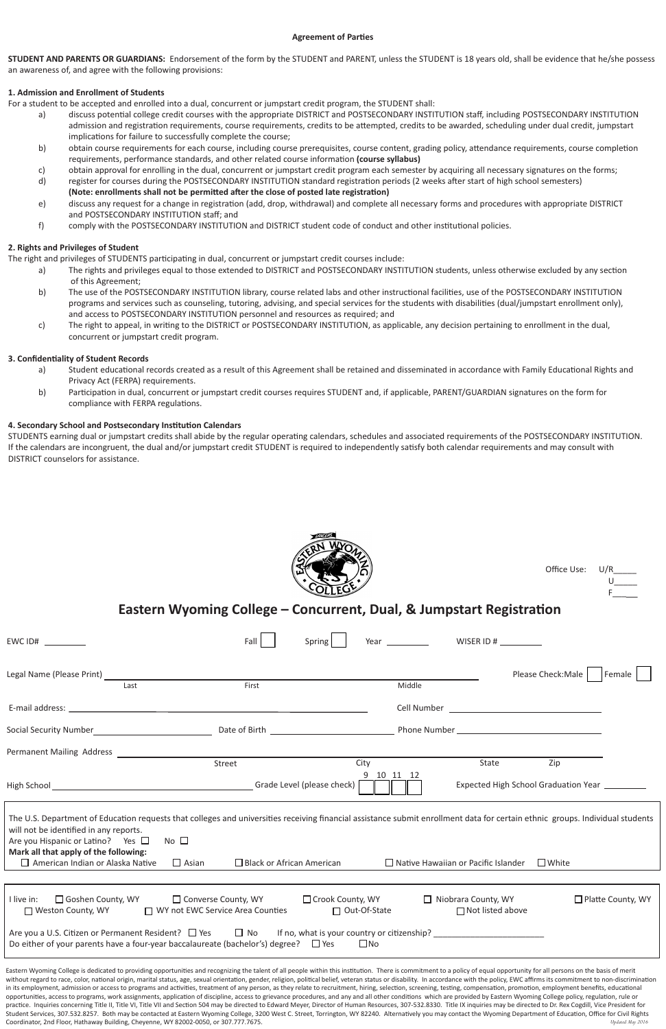| Permanent Mailing Address                                                                                                                                                                                                                                                                                                                                                                                                                                                                                                                                                                                                                                                                                                                                                                                                                                                                                                                                                                                                                                                                                                                                                                                                                                                                                                                                                                |                                                             |                                           |                                                       |                                                |  |  |
|------------------------------------------------------------------------------------------------------------------------------------------------------------------------------------------------------------------------------------------------------------------------------------------------------------------------------------------------------------------------------------------------------------------------------------------------------------------------------------------------------------------------------------------------------------------------------------------------------------------------------------------------------------------------------------------------------------------------------------------------------------------------------------------------------------------------------------------------------------------------------------------------------------------------------------------------------------------------------------------------------------------------------------------------------------------------------------------------------------------------------------------------------------------------------------------------------------------------------------------------------------------------------------------------------------------------------------------------------------------------------------------|-------------------------------------------------------------|-------------------------------------------|-------------------------------------------------------|------------------------------------------------|--|--|
|                                                                                                                                                                                                                                                                                                                                                                                                                                                                                                                                                                                                                                                                                                                                                                                                                                                                                                                                                                                                                                                                                                                                                                                                                                                                                                                                                                                          | Street                                                      | City                                      | State                                                 | Zip                                            |  |  |
| High School                                                                                                                                                                                                                                                                                                                                                                                                                                                                                                                                                                                                                                                                                                                                                                                                                                                                                                                                                                                                                                                                                                                                                                                                                                                                                                                                                                              |                                                             | 10<br>Grade Level (please check)          | 11<br>-12                                             | Expected High School Graduation Year _________ |  |  |
| The U.S. Department of Education requests that colleges and universities receiving financial assistance submit enrollment data for certain ethnic groups. Individual students<br>will not be identified in any reports.<br>Are you Hispanic or Latino? Yes $\Box$<br>Mark all that apply of the following:<br>$\Box$ American Indian or Alaska Native                                                                                                                                                                                                                                                                                                                                                                                                                                                                                                                                                                                                                                                                                                                                                                                                                                                                                                                                                                                                                                    | No $\square$<br>$\Box$ Asian                                | $\Box$ Black or African American          | $\Box$ Native Hawaiian or Pacific Islander            | $\square$ White                                |  |  |
|                                                                                                                                                                                                                                                                                                                                                                                                                                                                                                                                                                                                                                                                                                                                                                                                                                                                                                                                                                                                                                                                                                                                                                                                                                                                                                                                                                                          |                                                             |                                           |                                                       |                                                |  |  |
|                                                                                                                                                                                                                                                                                                                                                                                                                                                                                                                                                                                                                                                                                                                                                                                                                                                                                                                                                                                                                                                                                                                                                                                                                                                                                                                                                                                          |                                                             |                                           |                                                       |                                                |  |  |
| □ Goshen County, WY<br>I live in:<br>□ Weston County, WY                                                                                                                                                                                                                                                                                                                                                                                                                                                                                                                                                                                                                                                                                                                                                                                                                                                                                                                                                                                                                                                                                                                                                                                                                                                                                                                                 | □ Converse County, WY<br>□ WY not EWC Service Area Counties | □ Crook County, WY<br>$\Box$ Out-Of-State | $\Box$ Niobrara County, WY<br>$\Box$ Not listed above | $\Box$ Platte County, WY                       |  |  |
| Are you a U.S. Citizen or Permanent Resident? $\Box$ Yes<br>Do either of your parents have a four-year baccalaureate (bachelor's) degree? $\Box$ Yes                                                                                                                                                                                                                                                                                                                                                                                                                                                                                                                                                                                                                                                                                                                                                                                                                                                                                                                                                                                                                                                                                                                                                                                                                                     | $\Box$ No                                                   | $\Box$ No                                 | If no, what is your country or citizenship?           |                                                |  |  |
| Eastern Wyoming College is dedicated to providing opportunities and recognizing the talent of all people within this institution. There is commitment to a policy of equal opportunity for all persons on the basis of merit<br>without regard to race, color, national origin, marital status, age, sexual orientation, gender, religion, political belief, veteran status or disability. In accordance with the policy, EWC affirms its commitment to non-di<br>in its employment, admission or access to programs and activities, treatment of any person, as they relate to recruitment, hiring, selection, screening, testing, compensation, promotion, employment benefits, educational<br>opportunities, access to programs, work assignments, application of discipline, access to grievance procedures, and any and all other conditions which are provided by Eastern Wyoming College policy, regulation, rule or<br>practice. Inquiries concerning Title II, Title VI, Title VII and Section 504 may be directed to Edward Meyer, Director of Human Resources, 307-532.8330. Title IX inquiries may be directed to Dr. Rex Cogdill, Vice President<br>Student Services, 307.532.8257. Both may be contacted at Eastern Wyoming College, 3200 West C. Street, Torrington, WY 82240. Alternatively you may contact the Wyoming Department of Education, Office for Civil Rights |                                                             |                                           |                                                       |                                                |  |  |

# **Eastern Wyoming College – Concurrent, Dual, & Jumpstart Registration**

| $EWC$ ID# __________                                                                                            |      | Fall  | Spring | Year __________ |                                                                                                                                                                                                                                |
|-----------------------------------------------------------------------------------------------------------------|------|-------|--------|-----------------|--------------------------------------------------------------------------------------------------------------------------------------------------------------------------------------------------------------------------------|
| Legal Name (Please Print)                                                                                       |      |       |        |                 | Please Check: Male<br>Female                                                                                                                                                                                                   |
|                                                                                                                 | Last | First |        | Middle          |                                                                                                                                                                                                                                |
| E-mail address:                                                                                                 |      |       |        |                 | Cell Number and the contract of the contract of the contract of the contract of the contract of the contract of the contract of the contract of the contract of the contract of the contract of the contract of the contract o |
| <b>Social Security Number</b>                                                                                   |      |       |        |                 |                                                                                                                                                                                                                                |
| the contract of the contract of the contract of the contract of the contract of the contract of the contract of |      |       |        |                 |                                                                                                                                                                                                                                |

Coordinator, 2nd Floor, Hathaway Building, Cheyenne, WY 82002-0050, or 307.777.7675.

#### **Agreement of Parties**

**STUDENT AND PARENTS OR GUARDIANS:** Endorsement of the form by the STUDENT and PARENT, unless the STUDENT is 18 years old, shall be evidence that he/she possess an awareness of, and agree with the following provisions:

### **1. Admission and Enrollment of Students**

For a student to be accepted and enrolled into a dual, concurrent or jumpstart credit program, the STUDENT shall:

- a) discuss potential college credit courses with the appropriate DISTRICT and POSTSECONDARY INSTITUTION staff, including POSTSECONDARY INSTITUTION admission and registration requirements, course requirements, credits to be attempted, credits to be awarded, scheduling under dual credit, jumpstart implications for failure to successfully complete the course;
- b) obtain course requirements for each course, including course prerequisites, course content, grading policy, attendance requirements, course completion requirements, performance standards, and other related course information **(course syllabus)**
- c) obtain approval for enrolling in the dual, concurrent or jumpstart credit program each semester by acquiring all necessary signatures on the forms;
- d) register for courses during the POSTSECONDARY INSTITUTION standard registration periods (2 weeks after start of high school semesters) **(Note: enrollments shall not be permitted after the close of posted late registration)**
- e) discuss any request for a change in registration (add, drop, withdrawal) and complete all necessary forms and procedures with appropriate DISTRICT and POSTSECONDARY INSTITUTION staff; and
- f) comply with the POSTSECONDARY INSTITUTION and DISTRICT student code of conduct and other institutional policies.

## **2. Rights and Privileges of Student**

The right and privileges of STUDENTS participating in dual, concurrent or jumpstart credit courses include:

- a) The rights and privileges equal to those extended to DISTRICT and POSTSECONDARY INSTITUTION students, unless otherwise excluded by any section of this Agreement;
- b) The use of the POSTSECONDARY INSTITUTION library, course related labs and other instructional facilities, use of the POSTSECONDARY INSTITUTION programs and services such as counseling, tutoring, advising, and special services for the students with disabilities (dual/jumpstart enrollment only), and access to POSTSECONDARY INSTITUTION personnel and resources as required; and
- c) The right to appeal, in writing to the DISTRICT or POSTSECONDARY INSTITUTION, as applicable, any decision pertaining to enrollment in the dual, concurrent or jumpstart credit program.

### **3. Confidentiality of Student Records**

- a) Student educational records created as a result of this Agreement shall be retained and disseminated in accordance with Family Educational Rights and Privacy Act (FERPA) requirements.
- b) Participation in dual, concurrent or jumpstart credit courses requires STUDENT and, if applicable, PARENT/GUARDIAN signatures on the form for compliance with FERPA regulations.

#### **4. Secondary School and Postsecondary Institution Calendars**

STUDENTS earning dual or jumpstart credits shall abide by the regular operating calendars, schedules and associated requirements of the POSTSECONDARY INSTITUTION. If the calendars are incongruent, the dual and/or jumpstart credit STUDENT is required to independently satisfy both calendar requirements and may consult with DISTRICT counselors for assistance.



Office Use:  $U$ 

 $F_{\perp}$ 

*Updated May 2016*